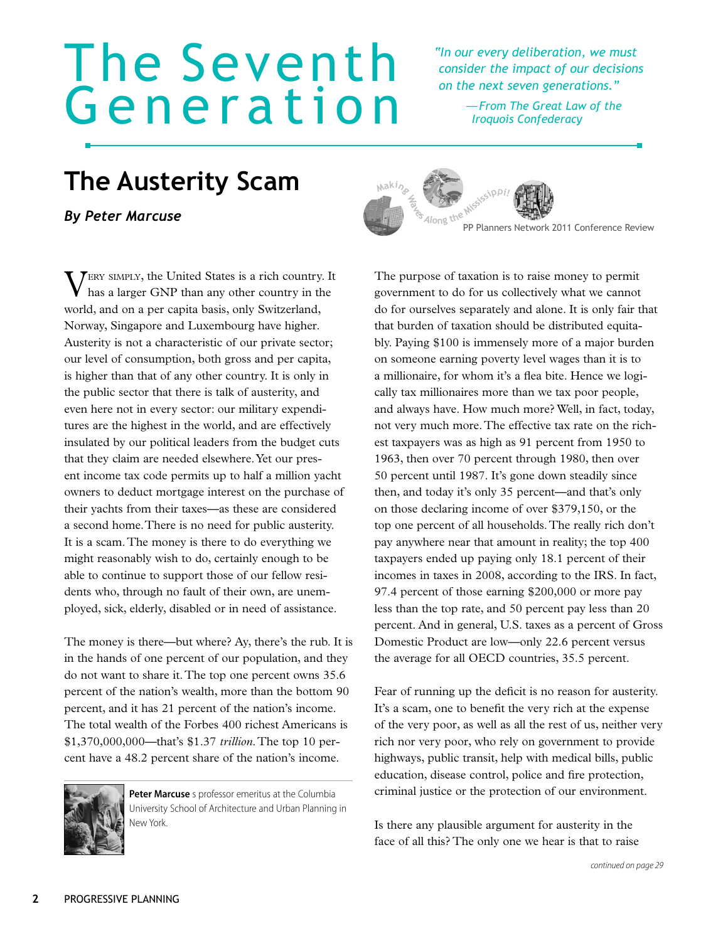## The Seventh Generation

*"In our every deliberation, we must consider the impact of our decisions on the next seven generations."*

> *—From The Great Law of the Iroquois Confederacy*

## **The Austerity Scam**

*By Peter Marcuse*

Very simply, the United States is a rich country. It has a larger GNP than any other country in the world, and on a per capita basis, only Switzerland, Norway, Singapore and Luxembourg have higher. Austerity is not a characteristic of our private sector; our level of consumption, both gross and per capita, is higher than that of any other country. It is only in the public sector that there is talk of austerity, and even here not in every sector: our military expenditures are the highest in the world, and are effectively insulated by our political leaders from the budget cuts that they claim are needed elsewhere. Yet our present income tax code permits up to half a million yacht owners to deduct mortgage interest on the purchase of their yachts from their taxes—as these are considered a second home.There is no need for public austerity. It is a scam. The money is there to do everything we might reasonably wish to do, certainly enough to be able to continue to support those of our fellow residents who, through no fault of their own, are unemployed, sick, elderly, disabled or in need of assistance.

The money is there—but where? Ay, there's the rub. It is in the hands of one percent of our population, and they do not want to share it. The top one percent owns 35.6 percent of the nation's wealth, more than the bottom 90 percent, and it has 21 percent of the nation's income. The total wealth of the Forbes 400 richest Americans is \$1,370,000,000—that's \$1.37 *trillion*. The top 10 percent have a 48.2 percent share of the nation's income.



**Peter Marcuse** s professor emeritus at the Columbia University School of Architecture and Urban Planning in New York.





PP Planners Network 2011 Conference Review

The purpose of taxation is to raise money to permit government to do for us collectively what we cannot do for ourselves separately and alone. It is only fair that that burden of taxation should be distributed equitably. Paying \$100 is immensely more of a major burden on someone earning poverty level wages than it is to a millionaire, for whom it's a flea bite. Hence we logically tax millionaires more than we tax poor people, and always have. How much more? Well, in fact, today, not very much more. The effective tax rate on the richest taxpayers was as high as 91 percent from 1950 to 1963, then over 70 percent through 1980, then over 50 percent until 1987. It's gone down steadily since then, and today it's only 35 percent—and that's only on those declaring income of over \$379,150, or the top one percent of all households. The really rich don't pay anywhere near that amount in reality; the top 400 taxpayers ended up paying only 18.1 percent of their incomes in taxes in 2008, according to the IRS. In fact, 97.4 percent of those earning \$200,000 or more pay less than the top rate, and 50 percent pay less than 20 percent. And in general, U.S. taxes as a percent of Gross Domestic Product are low—only 22.6 percent versus the average for all OECD countries, 35.5 percent.

Fear of running up the deficit is no reason for austerity. It's a scam, one to benefit the very rich at the expense of the very poor, as well as all the rest of us, neither very rich nor very poor, who rely on government to provide highways, public transit, help with medical bills, public education, disease control, police and fire protection, criminal justice or the protection of our environment.

Is there any plausible argument for austerity in the face of all this? The only one we hear is that to raise